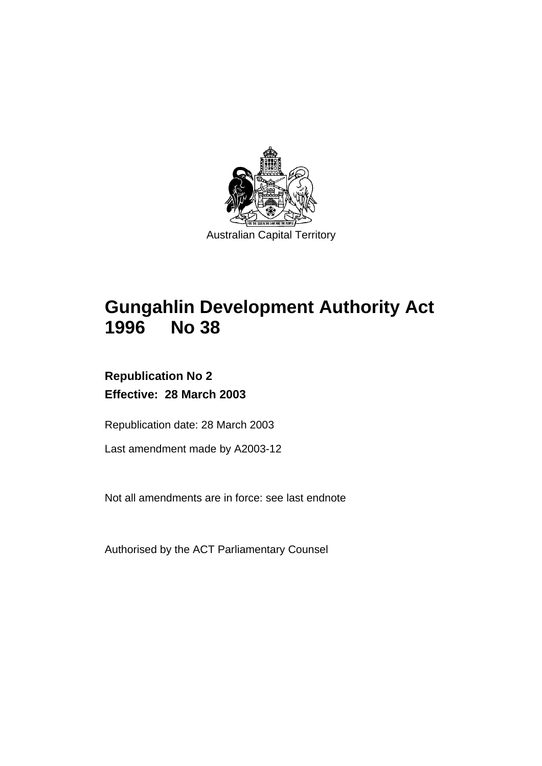

# **Gungahlin Development Authority Act 1996 No 38**

# **Republication No 2 Effective: 28 March 2003**

Republication date: 28 March 2003

Last amendment made by A2003-12

Not all amendments are in force: see last endnote

Authorised by the ACT Parliamentary Counsel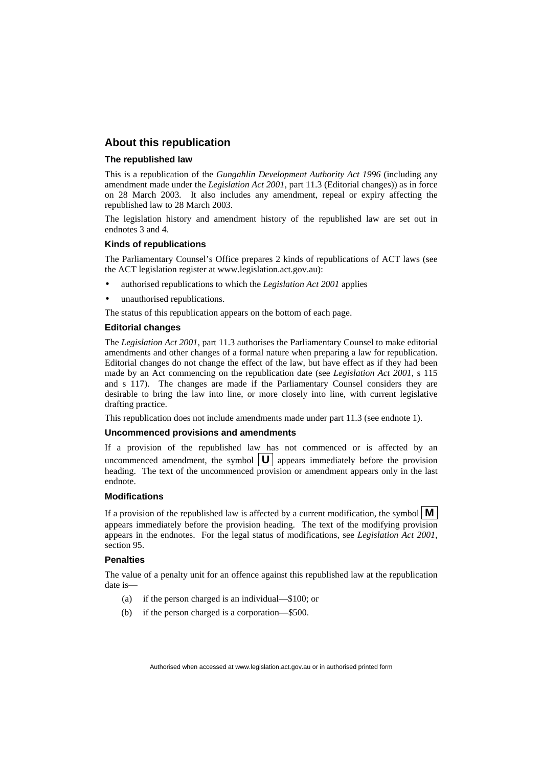#### **About this republication**

#### **The republished law**

This is a republication of the *Gungahlin Development Authority Act 1996* (including any amendment made under the *Legislation Act 2001*, part 11.3 (Editorial changes)) as in force on 28 March 2003*.* It also includes any amendment, repeal or expiry affecting the republished law to 28 March 2003.

The legislation history and amendment history of the republished law are set out in endnotes 3 and 4.

#### **Kinds of republications**

The Parliamentary Counsel's Office prepares 2 kinds of republications of ACT laws (see the ACT legislation register at www.legislation.act.gov.au):

- authorised republications to which the *Legislation Act 2001* applies
- unauthorised republications.

The status of this republication appears on the bottom of each page.

#### **Editorial changes**

The *Legislation Act 2001*, part 11.3 authorises the Parliamentary Counsel to make editorial amendments and other changes of a formal nature when preparing a law for republication. Editorial changes do not change the effect of the law, but have effect as if they had been made by an Act commencing on the republication date (see *Legislation Act 2001*, s 115 and s 117). The changes are made if the Parliamentary Counsel considers they are desirable to bring the law into line, or more closely into line, with current legislative drafting practice.

This republication does not include amendments made under part 11.3 (see endnote 1).

#### **Uncommenced provisions and amendments**

If a provision of the republished law has not commenced or is affected by an uncommenced amendment, the symbol  $|\mathbf{U}|$  appears immediately before the provision heading. The text of the uncommenced provision or amendment appears only in the last endnote.

#### **Modifications**

If a provision of the republished law is affected by a current modification, the symbol  $\mathbf{M}$ appears immediately before the provision heading. The text of the modifying provision appears in the endnotes. For the legal status of modifications, see *Legislation Act 2001*, section 95.

#### **Penalties**

The value of a penalty unit for an offence against this republished law at the republication date is—

- (a) if the person charged is an individual—\$100; or
- (b) if the person charged is a corporation—\$500.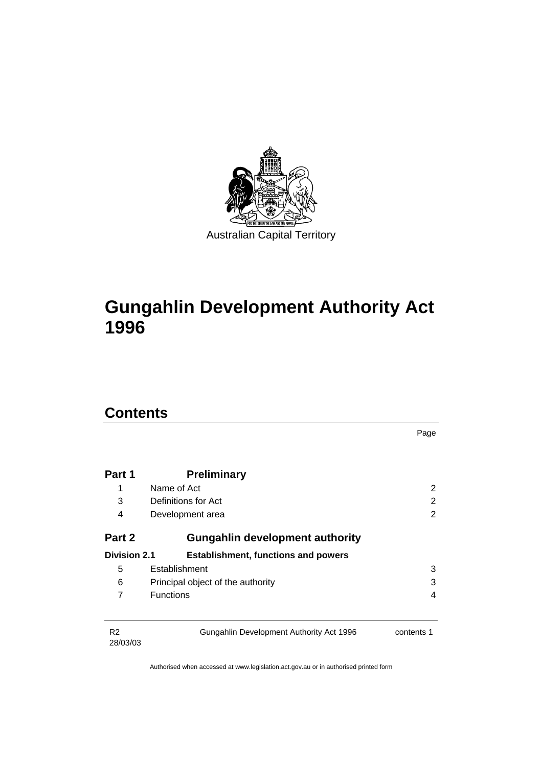

# **Gungahlin Development Authority Act 1996**

# **Contents**

|                            |                                            | Page                     |
|----------------------------|--------------------------------------------|--------------------------|
|                            |                                            |                          |
| Part 1                     | <b>Preliminary</b>                         |                          |
| 1                          | Name of Act                                | 2                        |
| 3                          | Definitions for Act                        | 2                        |
| 4                          | Development area                           | 2                        |
| Part 2                     | <b>Gungahlin development authority</b>     |                          |
| <b>Division 2.1</b>        | <b>Establishment, functions and powers</b> |                          |
| 5                          | Establishment                              | 3                        |
| 6                          | Principal object of the authority          | 3                        |
| 7                          | <b>Functions</b>                           | $\overline{\mathcal{A}}$ |
| R <sub>2</sub><br>28/03/03 | Gungahlin Development Authority Act 1996   | contents 1               |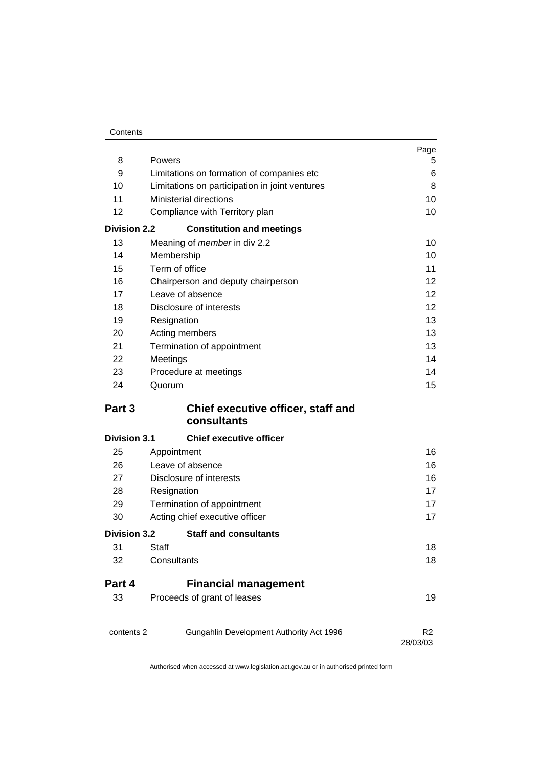| Contents |
|----------|
|----------|

|                     |                                                   | Page              |
|---------------------|---------------------------------------------------|-------------------|
| 8                   | Powers                                            | 5                 |
| 9                   | Limitations on formation of companies etc         | 6                 |
| 10                  | Limitations on participation in joint ventures    | 8                 |
| 11                  | <b>Ministerial directions</b>                     | 10                |
| 12                  | Compliance with Territory plan                    | 10                |
| <b>Division 2.2</b> | <b>Constitution and meetings</b>                  |                   |
| 13                  | Meaning of <i>member</i> in div 2.2               | 10                |
| 14                  | Membership                                        | 10                |
| 15                  | Term of office                                    | 11                |
| 16                  | Chairperson and deputy chairperson                | 12.               |
| 17                  | Leave of absence                                  | $12 \overline{ }$ |
| 18                  | Disclosure of interests                           | $12 \overline{ }$ |
| 19                  | Resignation                                       | 13                |
| 20                  | Acting members                                    | 13                |
| 21                  | Termination of appointment                        | 13                |
| 22                  | Meetings                                          | 14                |
| 23                  | Procedure at meetings                             | 14                |
| 24                  | Quorum                                            | 15                |
| Part 3              | Chief executive officer, staff and<br>consultants |                   |
|                     |                                                   |                   |
| <b>Division 3.1</b> |                                                   |                   |
|                     | <b>Chief executive officer</b>                    |                   |
| 25                  | Appointment                                       | 16                |
| 26                  | Leave of absence                                  | 16                |
| 27                  | Disclosure of interests                           | 16                |
| 28                  | Resignation                                       | 17                |
| 29<br>30            | Termination of appointment                        | 17<br>17          |
| <b>Division 3.2</b> | Acting chief executive officer                    |                   |
|                     | <b>Staff and consultants</b>                      |                   |
| 31<br>32            | Staff<br>Consultants                              | 18<br>18          |
|                     |                                                   |                   |
| Part 4              | <b>Financial management</b>                       |                   |
| 33                  | Proceeds of grant of leases                       | 19                |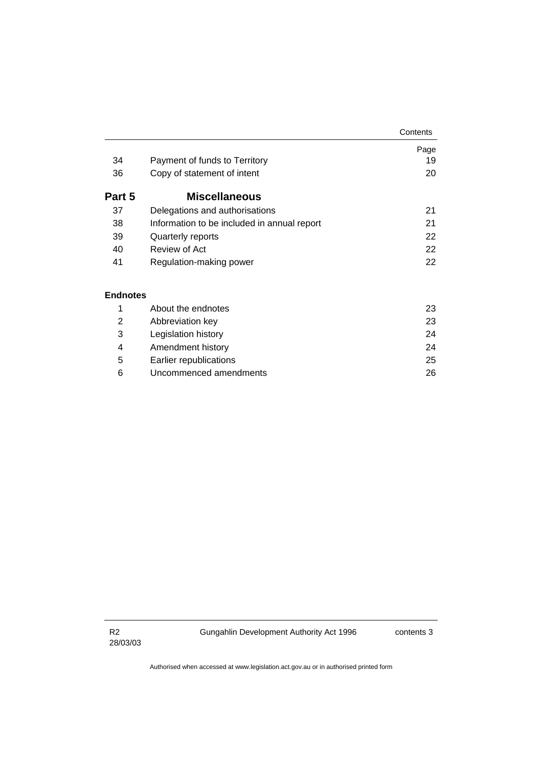|                 |                                             | Contents |
|-----------------|---------------------------------------------|----------|
|                 |                                             | Page     |
| 34              | Payment of funds to Territory               | 19       |
| 36              | Copy of statement of intent                 | 20       |
| Part 5          | <b>Miscellaneous</b>                        |          |
| 37              | Delegations and authorisations              | 21       |
| 38              | Information to be included in annual report | 21       |
| 39              | Quarterly reports                           | 22       |
| 40              | Review of Act                               | 22       |
| 41              | Regulation-making power                     | 22       |
| <b>Endnotes</b> |                                             |          |
| 1               | About the endnotes                          | 23       |
| $\overline{2}$  | Abbreviation key                            | 23       |
| 3               | Legislation history                         | 24       |
| 4               | Amendment history                           | 24       |

 5 Earlier republications 25 6 Uncommenced amendments 26

R2 28/03/03 Gungahlin Development Authority Act 1996 contents 3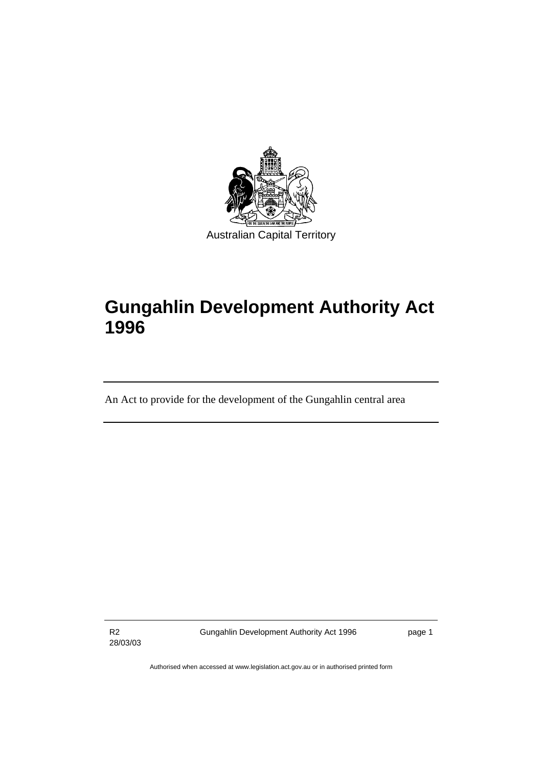

# **Gungahlin Development Authority Act 1996**

An Act to provide for the development of the Gungahlin central area

R2 28/03/03 Gungahlin Development Authority Act 1996 **page 1**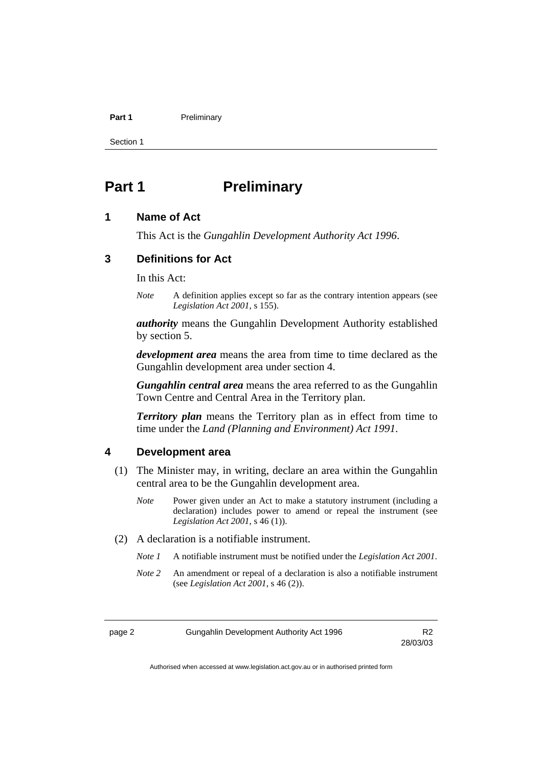#### **Part 1** Preliminary

Section 1

# **Part 1** Preliminary

### **1 Name of Act**

This Act is the *Gungahlin Development Authority Act 1996*.

### **3 Definitions for Act**

In this Act:

*Note* A definition applies except so far as the contrary intention appears (see *Legislation Act 2001*, s 155).

*authority* means the Gungahlin Development Authority established by section 5.

*development area* means the area from time to time declared as the Gungahlin development area under section 4.

*Gungahlin central area* means the area referred to as the Gungahlin Town Centre and Central Area in the Territory plan.

*Territory plan* means the Territory plan as in effect from time to time under the *Land (Planning and Environment) Act 1991*.

#### **4 Development area**

- (1) The Minister may, in writing, declare an area within the Gungahlin central area to be the Gungahlin development area.
	- *Note* Power given under an Act to make a statutory instrument (including a declaration) includes power to amend or repeal the instrument (see *Legislation Act 2001*, s 46 (1)).
- (2) A declaration is a notifiable instrument.
	- *Note 1* A notifiable instrument must be notified under the *Legislation Act 2001*.
	- *Note 2* An amendment or repeal of a declaration is also a notifiable instrument (see *Legislation Act 2001*, s 46 (2)).

page 2 Gungahlin Development Authority Act 1996 R2

28/03/03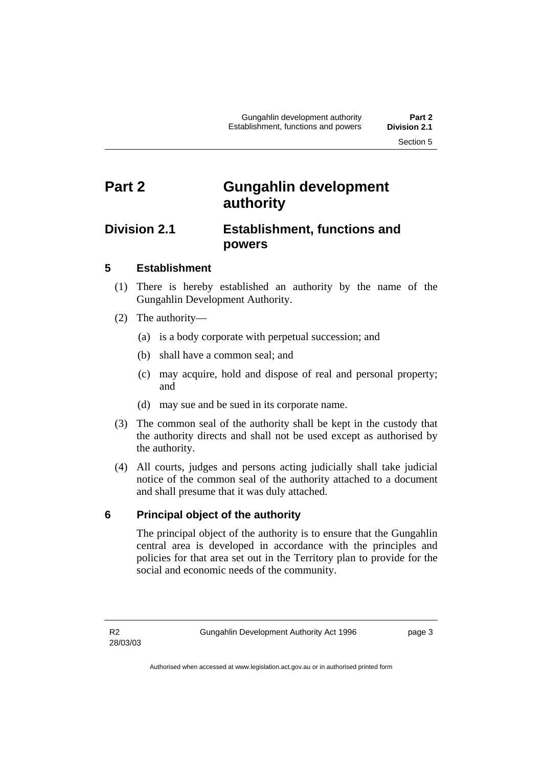# **Part 2 Gungahlin development authority**

# **Division 2.1 Establishment, functions and powers**

## **5 Establishment**

- (1) There is hereby established an authority by the name of the Gungahlin Development Authority.
- (2) The authority—
	- (a) is a body corporate with perpetual succession; and
	- (b) shall have a common seal; and
	- (c) may acquire, hold and dispose of real and personal property; and
	- (d) may sue and be sued in its corporate name.
- (3) The common seal of the authority shall be kept in the custody that the authority directs and shall not be used except as authorised by the authority.
- (4) All courts, judges and persons acting judicially shall take judicial notice of the common seal of the authority attached to a document and shall presume that it was duly attached.

# **6 Principal object of the authority**

The principal object of the authority is to ensure that the Gungahlin central area is developed in accordance with the principles and policies for that area set out in the Territory plan to provide for the social and economic needs of the community.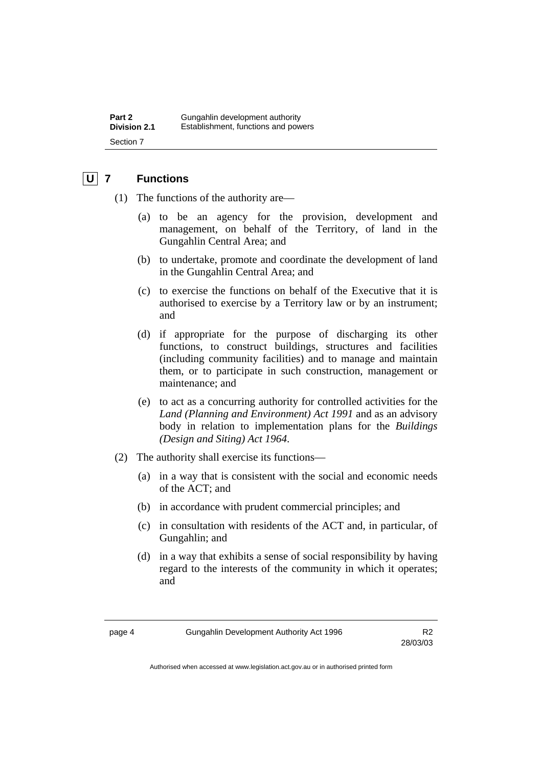# **U 7 Functions**

- (1) The functions of the authority are—
	- (a) to be an agency for the provision, development and management, on behalf of the Territory, of land in the Gungahlin Central Area; and
	- (b) to undertake, promote and coordinate the development of land in the Gungahlin Central Area; and
	- (c) to exercise the functions on behalf of the Executive that it is authorised to exercise by a Territory law or by an instrument; and
	- (d) if appropriate for the purpose of discharging its other functions, to construct buildings, structures and facilities (including community facilities) and to manage and maintain them, or to participate in such construction, management or maintenance; and
	- (e) to act as a concurring authority for controlled activities for the *Land (Planning and Environment) Act 1991* and as an advisory body in relation to implementation plans for the *Buildings (Design and Siting) Act 1964*.
- (2) The authority shall exercise its functions—
	- (a) in a way that is consistent with the social and economic needs of the ACT; and
	- (b) in accordance with prudent commercial principles; and
	- (c) in consultation with residents of the ACT and, in particular, of Gungahlin; and
	- (d) in a way that exhibits a sense of social responsibility by having regard to the interests of the community in which it operates; and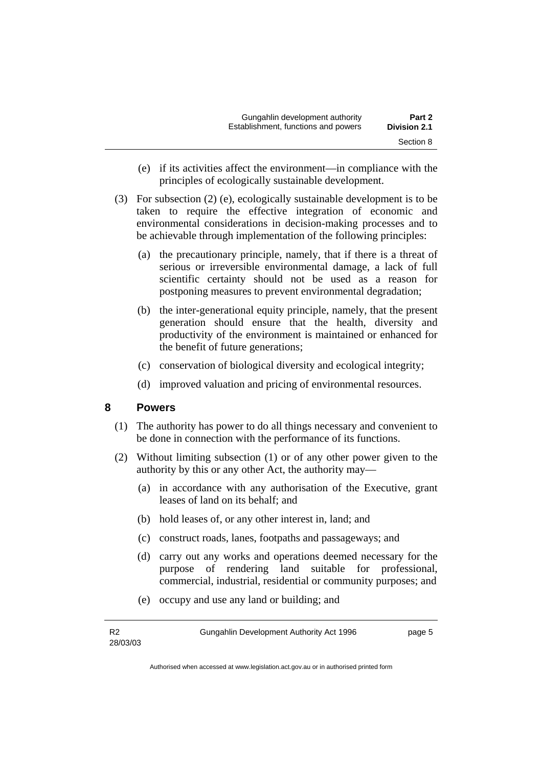| Gungahlin development authority     | Part 2              |
|-------------------------------------|---------------------|
| Establishment, functions and powers | <b>Division 2.1</b> |
|                                     | Section 8           |

- (e) if its activities affect the environment—in compliance with the principles of ecologically sustainable development.
- (3) For subsection (2) (e), ecologically sustainable development is to be taken to require the effective integration of economic and environmental considerations in decision-making processes and to be achievable through implementation of the following principles:
	- (a) the precautionary principle, namely, that if there is a threat of serious or irreversible environmental damage, a lack of full scientific certainty should not be used as a reason for postponing measures to prevent environmental degradation;
	- (b) the inter-generational equity principle, namely, that the present generation should ensure that the health, diversity and productivity of the environment is maintained or enhanced for the benefit of future generations;
	- (c) conservation of biological diversity and ecological integrity;
	- (d) improved valuation and pricing of environmental resources.

### **8 Powers**

- (1) The authority has power to do all things necessary and convenient to be done in connection with the performance of its functions.
- (2) Without limiting subsection (1) or of any other power given to the authority by this or any other Act, the authority may—
	- (a) in accordance with any authorisation of the Executive, grant leases of land on its behalf; and
	- (b) hold leases of, or any other interest in, land; and
	- (c) construct roads, lanes, footpaths and passageways; and
	- (d) carry out any works and operations deemed necessary for the purpose of rendering land suitable for professional, commercial, industrial, residential or community purposes; and
	- (e) occupy and use any land or building; and

Gungahlin Development Authority Act 1996 **page 5**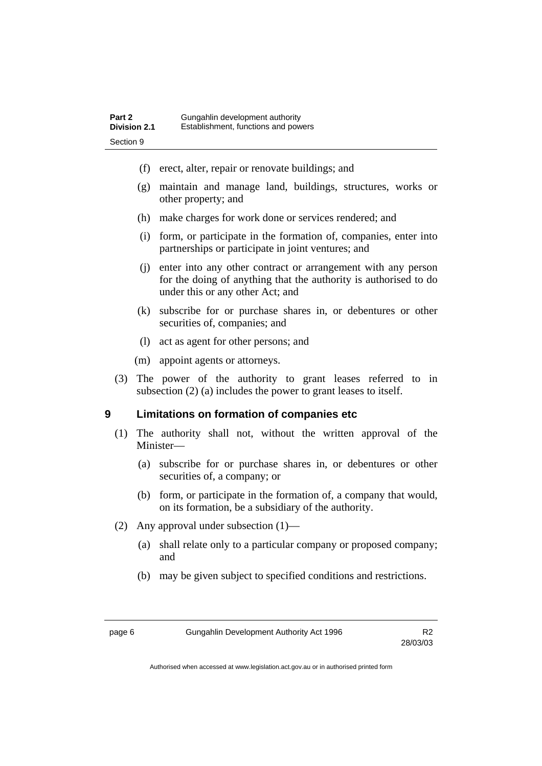| Part 2              | Gungahlin development authority     |
|---------------------|-------------------------------------|
| <b>Division 2.1</b> | Establishment, functions and powers |
| Section 9           |                                     |

- (f) erect, alter, repair or renovate buildings; and
- (g) maintain and manage land, buildings, structures, works or other property; and
- (h) make charges for work done or services rendered; and
- (i) form, or participate in the formation of, companies, enter into partnerships or participate in joint ventures; and
- (j) enter into any other contract or arrangement with any person for the doing of anything that the authority is authorised to do under this or any other Act; and
- (k) subscribe for or purchase shares in, or debentures or other securities of, companies; and
- (l) act as agent for other persons; and
- (m) appoint agents or attorneys.
- (3) The power of the authority to grant leases referred to in subsection (2) (a) includes the power to grant leases to itself.

#### **9 Limitations on formation of companies etc**

- (1) The authority shall not, without the written approval of the Minister—
	- (a) subscribe for or purchase shares in, or debentures or other securities of, a company; or
	- (b) form, or participate in the formation of, a company that would, on its formation, be a subsidiary of the authority.
- (2) Any approval under subsection (1)—
	- (a) shall relate only to a particular company or proposed company; and
	- (b) may be given subject to specified conditions and restrictions.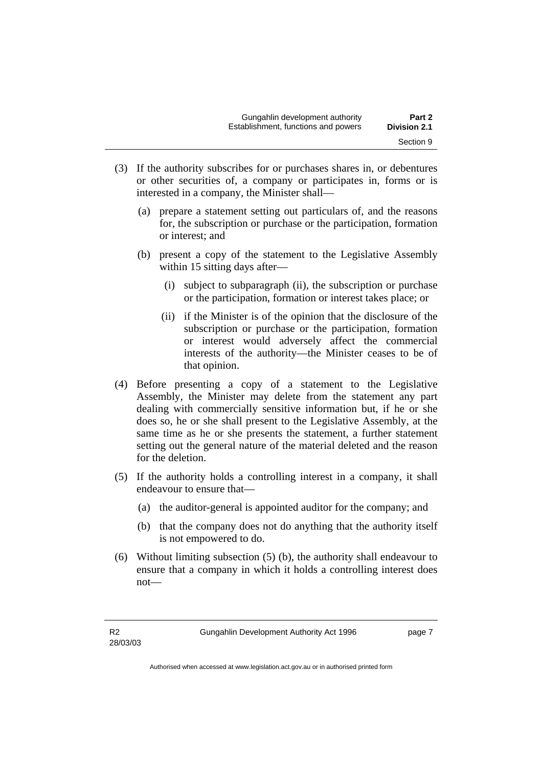| Gungahlin development authority     | Part 2              |
|-------------------------------------|---------------------|
| Establishment, functions and powers | <b>Division 2.1</b> |
|                                     | Section 9           |

- (3) If the authority subscribes for or purchases shares in, or debentures or other securities of, a company or participates in, forms or is interested in a company, the Minister shall—
	- (a) prepare a statement setting out particulars of, and the reasons for, the subscription or purchase or the participation, formation or interest; and
	- (b) present a copy of the statement to the Legislative Assembly within 15 sitting days after—
		- (i) subject to subparagraph (ii), the subscription or purchase or the participation, formation or interest takes place; or
		- (ii) if the Minister is of the opinion that the disclosure of the subscription or purchase or the participation, formation or interest would adversely affect the commercial interests of the authority—the Minister ceases to be of that opinion.
- (4) Before presenting a copy of a statement to the Legislative Assembly, the Minister may delete from the statement any part dealing with commercially sensitive information but, if he or she does so, he or she shall present to the Legislative Assembly, at the same time as he or she presents the statement, a further statement setting out the general nature of the material deleted and the reason for the deletion.
- (5) If the authority holds a controlling interest in a company, it shall endeavour to ensure that—
	- (a) the auditor-general is appointed auditor for the company; and
	- (b) that the company does not do anything that the authority itself is not empowered to do.
- (6) Without limiting subsection (5) (b), the authority shall endeavour to ensure that a company in which it holds a controlling interest does not—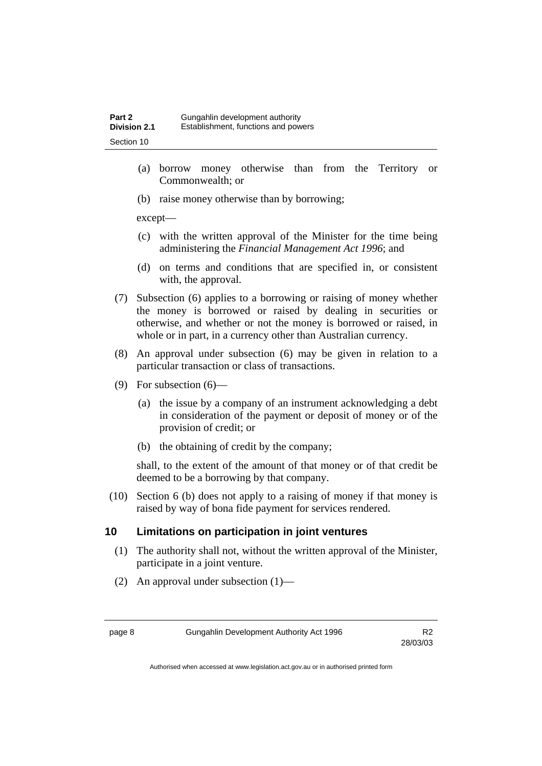- (a) borrow money otherwise than from the Territory or Commonwealth; or
- (b) raise money otherwise than by borrowing;

except—

- (c) with the written approval of the Minister for the time being administering the *Financial Management Act 1996*; and
- (d) on terms and conditions that are specified in, or consistent with, the approval.
- (7) Subsection (6) applies to a borrowing or raising of money whether the money is borrowed or raised by dealing in securities or otherwise, and whether or not the money is borrowed or raised, in whole or in part, in a currency other than Australian currency.
- (8) An approval under subsection (6) may be given in relation to a particular transaction or class of transactions.
- (9) For subsection (6)—
	- (a) the issue by a company of an instrument acknowledging a debt in consideration of the payment or deposit of money or of the provision of credit; or
	- (b) the obtaining of credit by the company;

shall, to the extent of the amount of that money or of that credit be deemed to be a borrowing by that company.

 (10) Section 6 (b) does not apply to a raising of money if that money is raised by way of bona fide payment for services rendered.

# **10 Limitations on participation in joint ventures**

- (1) The authority shall not, without the written approval of the Minister, participate in a joint venture.
- (2) An approval under subsection (1)—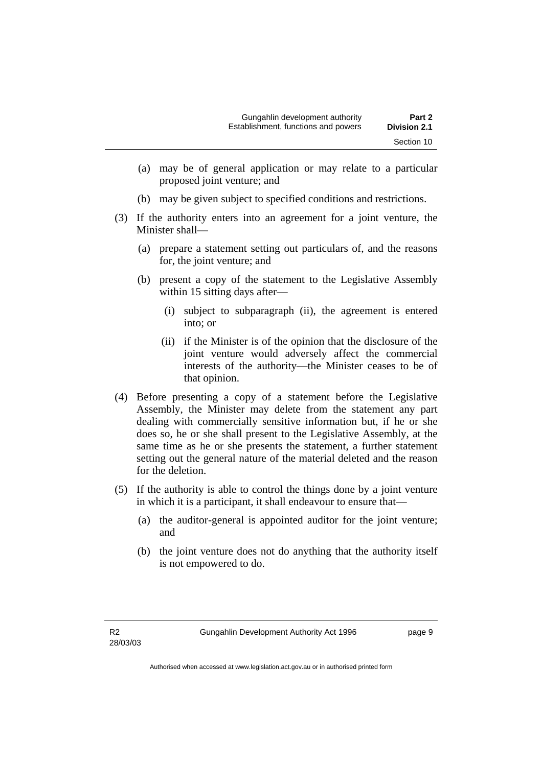- (a) may be of general application or may relate to a particular proposed joint venture; and
- (b) may be given subject to specified conditions and restrictions.
- (3) If the authority enters into an agreement for a joint venture, the Minister shall—
	- (a) prepare a statement setting out particulars of, and the reasons for, the joint venture; and
	- (b) present a copy of the statement to the Legislative Assembly within 15 sitting days after—
		- (i) subject to subparagraph (ii), the agreement is entered into; or
		- (ii) if the Minister is of the opinion that the disclosure of the joint venture would adversely affect the commercial interests of the authority—the Minister ceases to be of that opinion.
- (4) Before presenting a copy of a statement before the Legislative Assembly, the Minister may delete from the statement any part dealing with commercially sensitive information but, if he or she does so, he or she shall present to the Legislative Assembly, at the same time as he or she presents the statement, a further statement setting out the general nature of the material deleted and the reason for the deletion.
- (5) If the authority is able to control the things done by a joint venture in which it is a participant, it shall endeavour to ensure that—
	- (a) the auditor-general is appointed auditor for the joint venture; and
	- (b) the joint venture does not do anything that the authority itself is not empowered to do.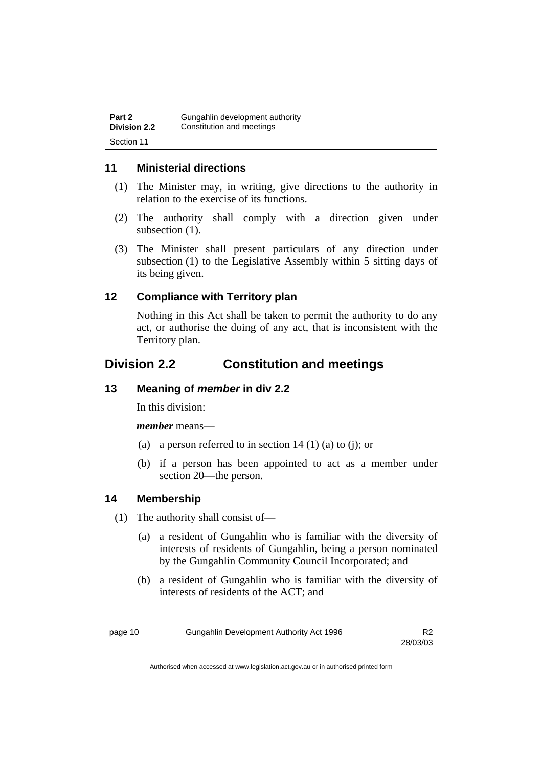| Part 2       | Gungahlin development authority |
|--------------|---------------------------------|
| Division 2.2 | Constitution and meetings       |
| Section 11   |                                 |

## **11 Ministerial directions**

- (1) The Minister may, in writing, give directions to the authority in relation to the exercise of its functions.
- (2) The authority shall comply with a direction given under subsection  $(1)$ .
- (3) The Minister shall present particulars of any direction under subsection (1) to the Legislative Assembly within 5 sitting days of its being given.

## **12 Compliance with Territory plan**

Nothing in this Act shall be taken to permit the authority to do any act, or authorise the doing of any act, that is inconsistent with the Territory plan.

# **Division 2.2 Constitution and meetings**

### **13 Meaning of** *member* **in div 2.2**

In this division:

*member* means—

- (a) a person referred to in section  $14(1)(a)$  to (i); or
- (b) if a person has been appointed to act as a member under section 20—the person.

### **14 Membership**

- (1) The authority shall consist of—
	- (a) a resident of Gungahlin who is familiar with the diversity of interests of residents of Gungahlin, being a person nominated by the Gungahlin Community Council Incorporated; and
	- (b) a resident of Gungahlin who is familiar with the diversity of interests of residents of the ACT; and

28/03/03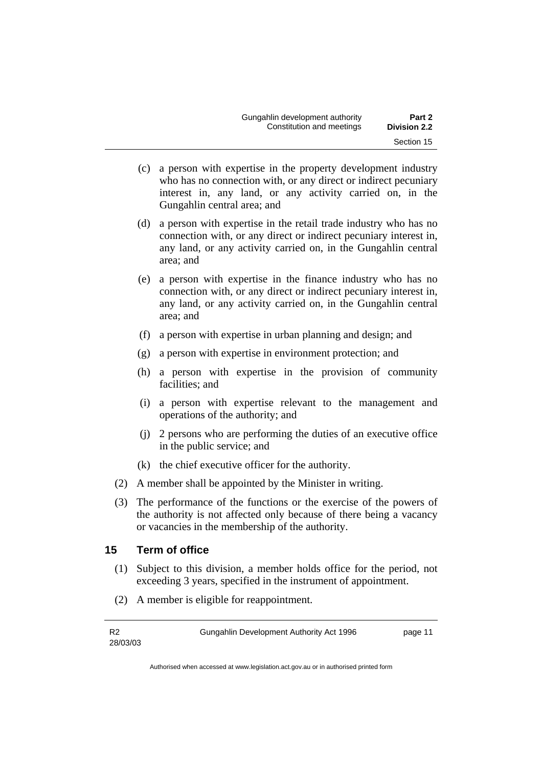- (c) a person with expertise in the property development industry who has no connection with, or any direct or indirect pecuniary interest in, any land, or any activity carried on, in the Gungahlin central area; and
- (d) a person with expertise in the retail trade industry who has no connection with, or any direct or indirect pecuniary interest in, any land, or any activity carried on, in the Gungahlin central area; and
- (e) a person with expertise in the finance industry who has no connection with, or any direct or indirect pecuniary interest in, any land, or any activity carried on, in the Gungahlin central area; and
- (f) a person with expertise in urban planning and design; and
- (g) a person with expertise in environment protection; and
- (h) a person with expertise in the provision of community facilities; and
- (i) a person with expertise relevant to the management and operations of the authority; and
- (j) 2 persons who are performing the duties of an executive office in the public service; and
- (k) the chief executive officer for the authority.
- (2) A member shall be appointed by the Minister in writing.
- (3) The performance of the functions or the exercise of the powers of the authority is not affected only because of there being a vacancy or vacancies in the membership of the authority.

### **15 Term of office**

- (1) Subject to this division, a member holds office for the period, not exceeding 3 years, specified in the instrument of appointment.
- (2) A member is eligible for reappointment.

Gungahlin Development Authority Act 1996 page 11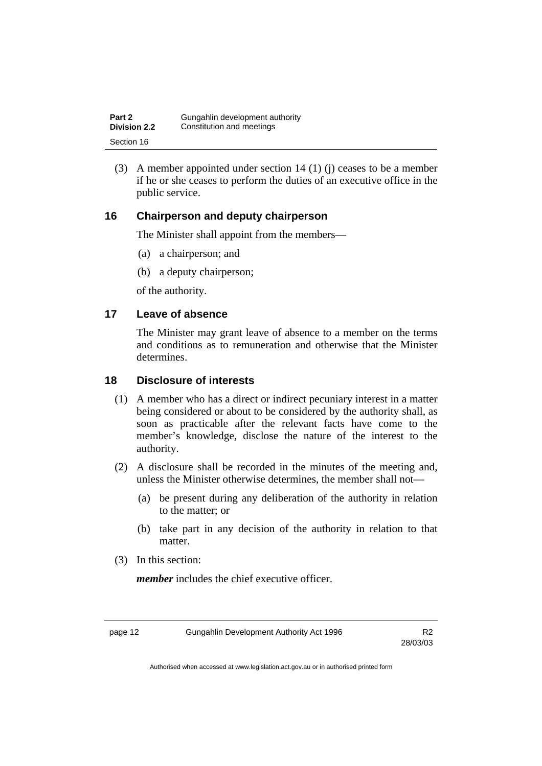| Part 2       | Gungahlin development authority |
|--------------|---------------------------------|
| Division 2.2 | Constitution and meetings       |
| Section 16   |                                 |

 (3) A member appointed under section 14 (1) (j) ceases to be a member if he or she ceases to perform the duties of an executive office in the public service.

## **16 Chairperson and deputy chairperson**

The Minister shall appoint from the members—

- (a) a chairperson; and
- (b) a deputy chairperson;

of the authority.

### **17 Leave of absence**

The Minister may grant leave of absence to a member on the terms and conditions as to remuneration and otherwise that the Minister determines.

### **18 Disclosure of interests**

- (1) A member who has a direct or indirect pecuniary interest in a matter being considered or about to be considered by the authority shall, as soon as practicable after the relevant facts have come to the member's knowledge, disclose the nature of the interest to the authority.
- (2) A disclosure shall be recorded in the minutes of the meeting and, unless the Minister otherwise determines, the member shall not—
	- (a) be present during any deliberation of the authority in relation to the matter; or
	- (b) take part in any decision of the authority in relation to that matter.
- (3) In this section:

*member* includes the chief executive officer.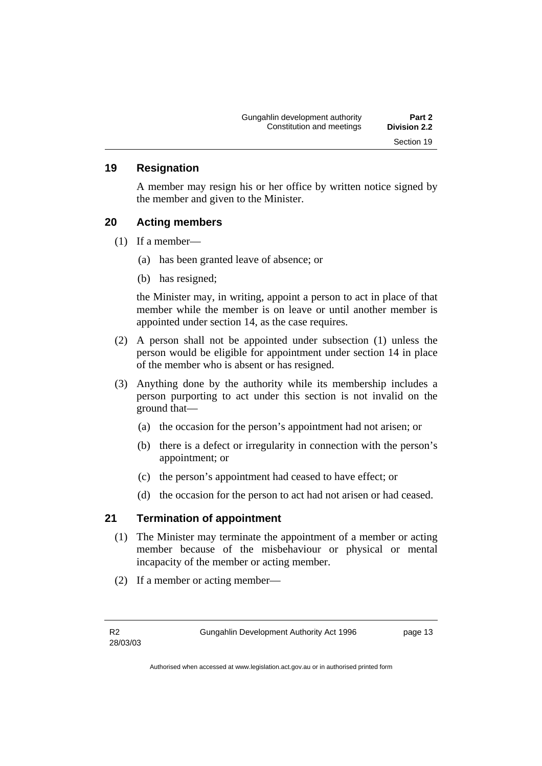#### **19 Resignation**

A member may resign his or her office by written notice signed by the member and given to the Minister.

#### **20 Acting members**

- (1) If a member—
	- (a) has been granted leave of absence; or
	- (b) has resigned;

the Minister may, in writing, appoint a person to act in place of that member while the member is on leave or until another member is appointed under section 14, as the case requires.

- (2) A person shall not be appointed under subsection (1) unless the person would be eligible for appointment under section 14 in place of the member who is absent or has resigned.
- (3) Anything done by the authority while its membership includes a person purporting to act under this section is not invalid on the ground that—
	- (a) the occasion for the person's appointment had not arisen; or
	- (b) there is a defect or irregularity in connection with the person's appointment; or
	- (c) the person's appointment had ceased to have effect; or
	- (d) the occasion for the person to act had not arisen or had ceased.

### **21 Termination of appointment**

- (1) The Minister may terminate the appointment of a member or acting member because of the misbehaviour or physical or mental incapacity of the member or acting member.
- (2) If a member or acting member—

Gungahlin Development Authority Act 1996 **page 13**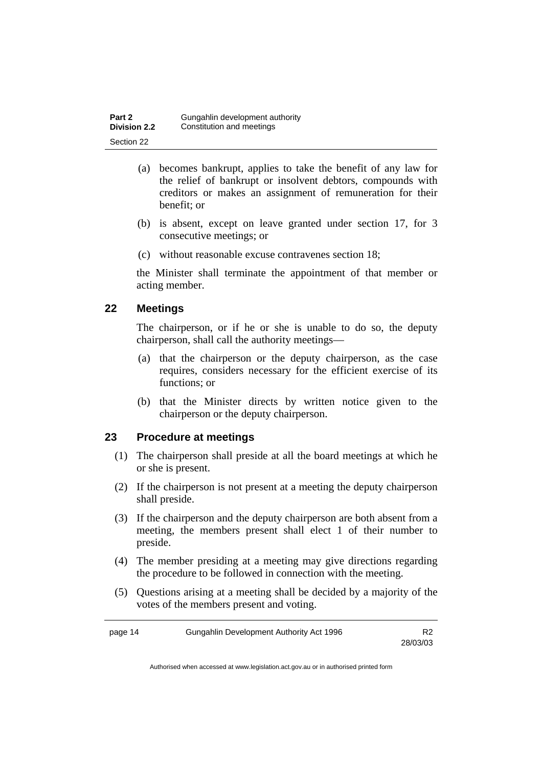| Part 2              | Gungahlin development authority |
|---------------------|---------------------------------|
| <b>Division 2.2</b> | Constitution and meetings       |
| Section 22          |                                 |

- (a) becomes bankrupt, applies to take the benefit of any law for the relief of bankrupt or insolvent debtors, compounds with creditors or makes an assignment of remuneration for their benefit; or
- (b) is absent, except on leave granted under section 17, for 3 consecutive meetings; or
- (c) without reasonable excuse contravenes section 18;

the Minister shall terminate the appointment of that member or acting member.

### **22 Meetings**

The chairperson, or if he or she is unable to do so, the deputy chairperson, shall call the authority meetings—

- (a) that the chairperson or the deputy chairperson, as the case requires, considers necessary for the efficient exercise of its functions; or
- (b) that the Minister directs by written notice given to the chairperson or the deputy chairperson.

# **23 Procedure at meetings**

- (1) The chairperson shall preside at all the board meetings at which he or she is present.
- (2) If the chairperson is not present at a meeting the deputy chairperson shall preside.
- (3) If the chairperson and the deputy chairperson are both absent from a meeting, the members present shall elect 1 of their number to preside.
- (4) The member presiding at a meeting may give directions regarding the procedure to be followed in connection with the meeting.
- (5) Questions arising at a meeting shall be decided by a majority of the votes of the members present and voting.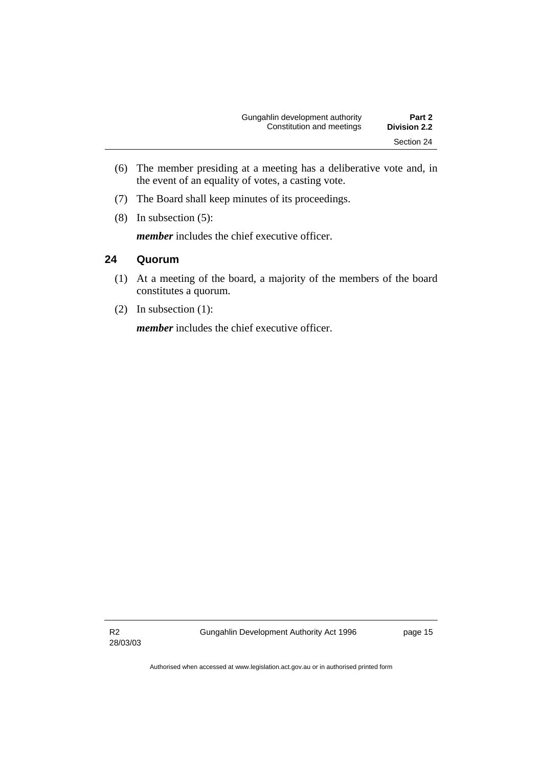- (6) The member presiding at a meeting has a deliberative vote and, in the event of an equality of votes, a casting vote.
- (7) The Board shall keep minutes of its proceedings.
- (8) In subsection (5):

*member* includes the chief executive officer.

## **24 Quorum**

- (1) At a meeting of the board, a majority of the members of the board constitutes a quorum.
- (2) In subsection (1):

*member* includes the chief executive officer.

R2 28/03/03 Gungahlin Development Authority Act 1996 **page 15**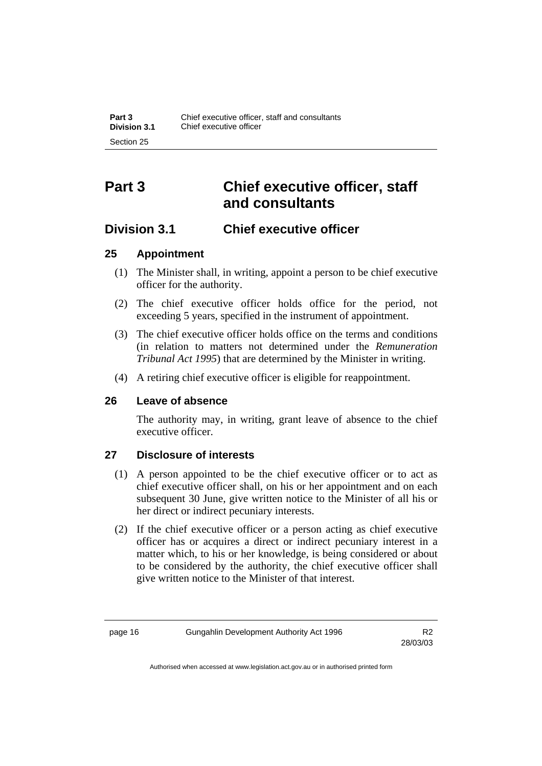# **Part 3 Chief executive officer, staff and consultants**

# **Division 3.1 Chief executive officer**

# **25 Appointment**

- (1) The Minister shall, in writing, appoint a person to be chief executive officer for the authority.
- (2) The chief executive officer holds office for the period, not exceeding 5 years, specified in the instrument of appointment.
- (3) The chief executive officer holds office on the terms and conditions (in relation to matters not determined under the *Remuneration Tribunal Act 1995*) that are determined by the Minister in writing.
- (4) A retiring chief executive officer is eligible for reappointment.

### **26 Leave of absence**

The authority may, in writing, grant leave of absence to the chief executive officer.

# **27 Disclosure of interests**

- (1) A person appointed to be the chief executive officer or to act as chief executive officer shall, on his or her appointment and on each subsequent 30 June, give written notice to the Minister of all his or her direct or indirect pecuniary interests.
- (2) If the chief executive officer or a person acting as chief executive officer has or acquires a direct or indirect pecuniary interest in a matter which, to his or her knowledge, is being considered or about to be considered by the authority, the chief executive officer shall give written notice to the Minister of that interest.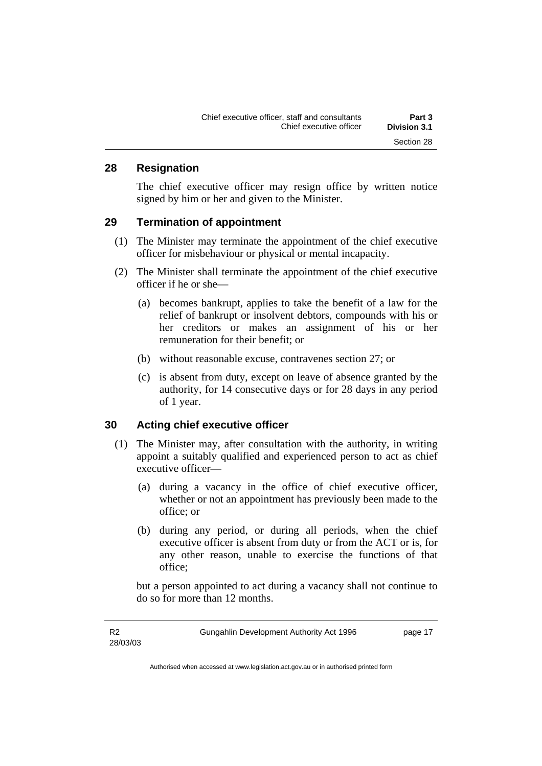### **28 Resignation**

The chief executive officer may resign office by written notice signed by him or her and given to the Minister.

#### **29 Termination of appointment**

- (1) The Minister may terminate the appointment of the chief executive officer for misbehaviour or physical or mental incapacity.
- (2) The Minister shall terminate the appointment of the chief executive officer if he or she—
	- (a) becomes bankrupt, applies to take the benefit of a law for the relief of bankrupt or insolvent debtors, compounds with his or her creditors or makes an assignment of his or her remuneration for their benefit; or
	- (b) without reasonable excuse, contravenes section 27; or
	- (c) is absent from duty, except on leave of absence granted by the authority, for 14 consecutive days or for 28 days in any period of 1 year.

#### **30 Acting chief executive officer**

- (1) The Minister may, after consultation with the authority, in writing appoint a suitably qualified and experienced person to act as chief executive officer—
	- (a) during a vacancy in the office of chief executive officer, whether or not an appointment has previously been made to the office; or
	- (b) during any period, or during all periods, when the chief executive officer is absent from duty or from the ACT or is, for any other reason, unable to exercise the functions of that office;

but a person appointed to act during a vacancy shall not continue to do so for more than 12 months.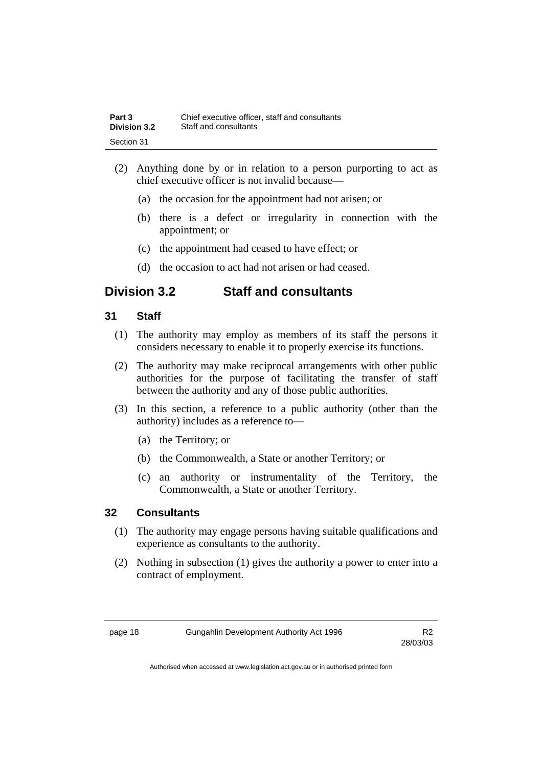| Part 3              | Chief executive officer, staff and consultants |
|---------------------|------------------------------------------------|
| <b>Division 3.2</b> | Staff and consultants                          |
| Section 31          |                                                |

- (2) Anything done by or in relation to a person purporting to act as chief executive officer is not invalid because—
	- (a) the occasion for the appointment had not arisen; or
	- (b) there is a defect or irregularity in connection with the appointment; or
	- (c) the appointment had ceased to have effect; or
	- (d) the occasion to act had not arisen or had ceased.

# **Division 3.2 Staff and consultants**

## **31 Staff**

- (1) The authority may employ as members of its staff the persons it considers necessary to enable it to properly exercise its functions.
- (2) The authority may make reciprocal arrangements with other public authorities for the purpose of facilitating the transfer of staff between the authority and any of those public authorities.
- (3) In this section, a reference to a public authority (other than the authority) includes as a reference to—
	- (a) the Territory; or
	- (b) the Commonwealth, a State or another Territory; or
	- (c) an authority or instrumentality of the Territory, the Commonwealth, a State or another Territory.

## **32 Consultants**

- (1) The authority may engage persons having suitable qualifications and experience as consultants to the authority.
- (2) Nothing in subsection (1) gives the authority a power to enter into a contract of employment.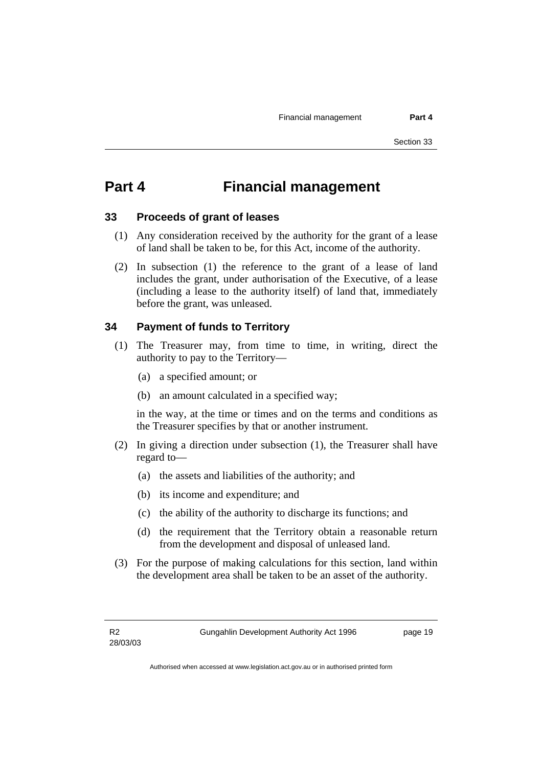# **Part 4 Financial management**

#### **33 Proceeds of grant of leases**

- (1) Any consideration received by the authority for the grant of a lease of land shall be taken to be, for this Act, income of the authority.
- (2) In subsection (1) the reference to the grant of a lease of land includes the grant, under authorisation of the Executive, of a lease (including a lease to the authority itself) of land that, immediately before the grant, was unleased.

## **34 Payment of funds to Territory**

- (1) The Treasurer may, from time to time, in writing, direct the authority to pay to the Territory—
	- (a) a specified amount; or
	- (b) an amount calculated in a specified way;

in the way, at the time or times and on the terms and conditions as the Treasurer specifies by that or another instrument.

- (2) In giving a direction under subsection (1), the Treasurer shall have regard to—
	- (a) the assets and liabilities of the authority; and
	- (b) its income and expenditure; and
	- (c) the ability of the authority to discharge its functions; and
	- (d) the requirement that the Territory obtain a reasonable return from the development and disposal of unleased land.
- (3) For the purpose of making calculations for this section, land within the development area shall be taken to be an asset of the authority.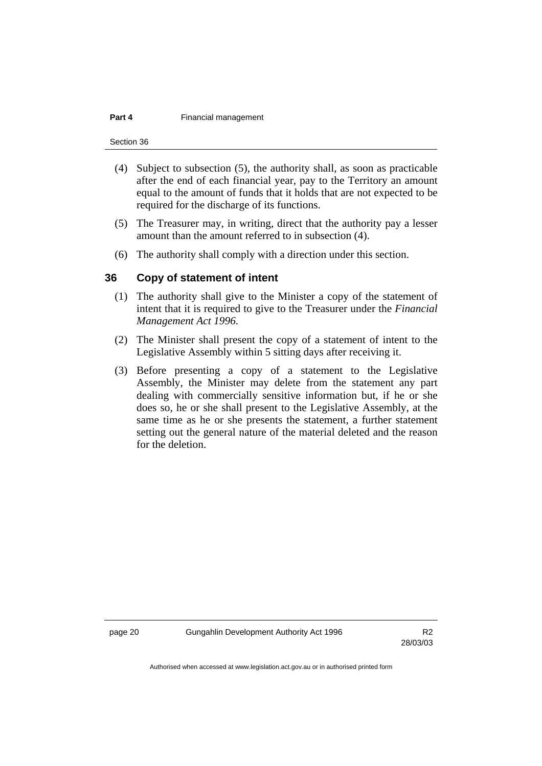#### **Part 4 Financial management**

Section 36

- (4) Subject to subsection (5), the authority shall, as soon as practicable after the end of each financial year, pay to the Territory an amount equal to the amount of funds that it holds that are not expected to be required for the discharge of its functions.
- (5) The Treasurer may, in writing, direct that the authority pay a lesser amount than the amount referred to in subsection (4).
- (6) The authority shall comply with a direction under this section.

#### **36 Copy of statement of intent**

- (1) The authority shall give to the Minister a copy of the statement of intent that it is required to give to the Treasurer under the *Financial Management Act 1996*.
- (2) The Minister shall present the copy of a statement of intent to the Legislative Assembly within 5 sitting days after receiving it.
- (3) Before presenting a copy of a statement to the Legislative Assembly, the Minister may delete from the statement any part dealing with commercially sensitive information but, if he or she does so, he or she shall present to the Legislative Assembly, at the same time as he or she presents the statement, a further statement setting out the general nature of the material deleted and the reason for the deletion.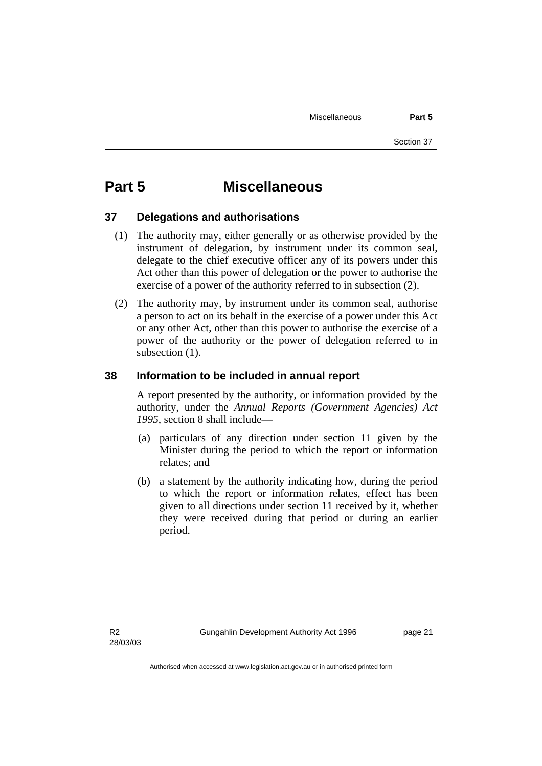# **Part 5 Miscellaneous**

#### **37 Delegations and authorisations**

- (1) The authority may, either generally or as otherwise provided by the instrument of delegation, by instrument under its common seal, delegate to the chief executive officer any of its powers under this Act other than this power of delegation or the power to authorise the exercise of a power of the authority referred to in subsection (2).
- (2) The authority may, by instrument under its common seal, authorise a person to act on its behalf in the exercise of a power under this Act or any other Act, other than this power to authorise the exercise of a power of the authority or the power of delegation referred to in subsection  $(1)$ .

### **38 Information to be included in annual report**

A report presented by the authority, or information provided by the authority, under the *Annual Reports (Government Agencies) Act 1995*, section 8 shall include—

- (a) particulars of any direction under section 11 given by the Minister during the period to which the report or information relates; and
- (b) a statement by the authority indicating how, during the period to which the report or information relates, effect has been given to all directions under section 11 received by it, whether they were received during that period or during an earlier period.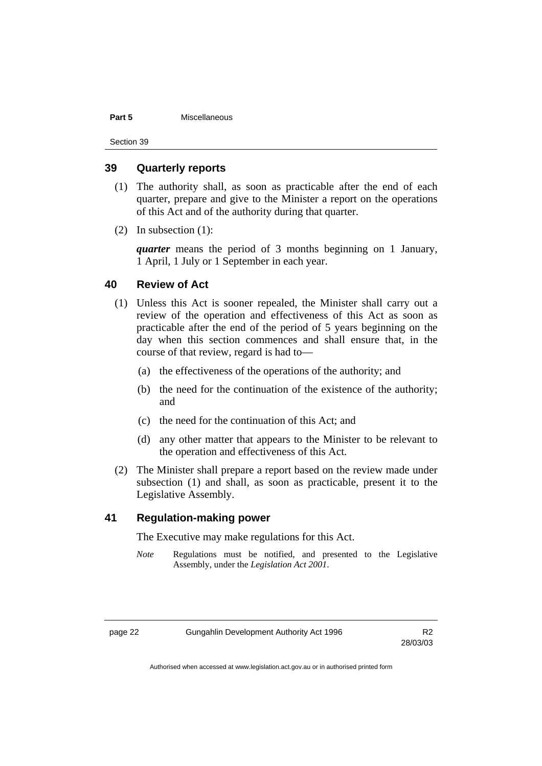#### **Part 5** Miscellaneous

Section 39

#### **39 Quarterly reports**

- (1) The authority shall, as soon as practicable after the end of each quarter, prepare and give to the Minister a report on the operations of this Act and of the authority during that quarter.
- (2) In subsection (1):

*quarter* means the period of 3 months beginning on 1 January, 1 April, 1 July or 1 September in each year.

#### **40 Review of Act**

- (1) Unless this Act is sooner repealed, the Minister shall carry out a review of the operation and effectiveness of this Act as soon as practicable after the end of the period of 5 years beginning on the day when this section commences and shall ensure that, in the course of that review, regard is had to—
	- (a) the effectiveness of the operations of the authority; and
	- (b) the need for the continuation of the existence of the authority; and
	- (c) the need for the continuation of this Act; and
	- (d) any other matter that appears to the Minister to be relevant to the operation and effectiveness of this Act.
- (2) The Minister shall prepare a report based on the review made under subsection (1) and shall, as soon as practicable, present it to the Legislative Assembly.

#### **41 Regulation-making power**

The Executive may make regulations for this Act.

*Note* Regulations must be notified, and presented to the Legislative Assembly, under the *Legislation Act 2001*.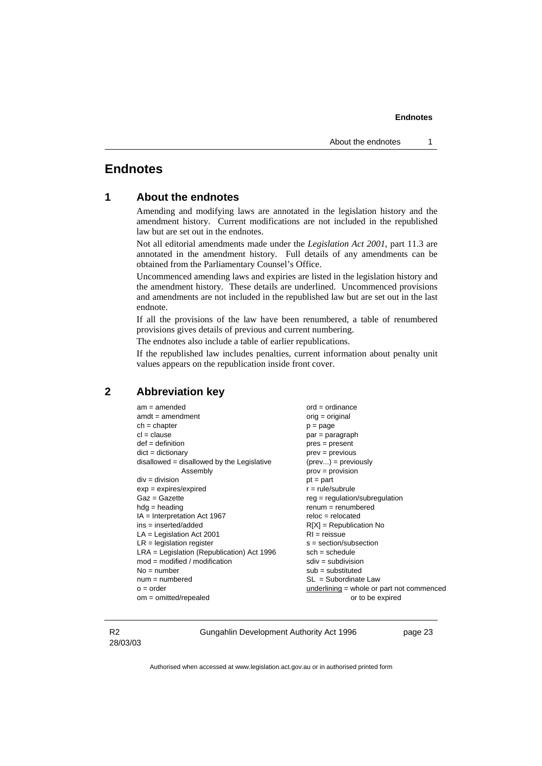## **Endnotes**

#### **1 About the endnotes**

Amending and modifying laws are annotated in the legislation history and the amendment history. Current modifications are not included in the republished law but are set out in the endnotes.

Not all editorial amendments made under the *Legislation Act 2001*, part 11.3 are annotated in the amendment history. Full details of any amendments can be obtained from the Parliamentary Counsel's Office.

Uncommenced amending laws and expiries are listed in the legislation history and the amendment history. These details are underlined. Uncommenced provisions and amendments are not included in the republished law but are set out in the last endnote.

If all the provisions of the law have been renumbered, a table of renumbered provisions gives details of previous and current numbering.

The endnotes also include a table of earlier republications.

If the republished law includes penalties, current information about penalty unit values appears on the republication inside front cover.

#### **2 Abbreviation key**

| am = amended                                 |
|----------------------------------------------|
| $amdt = amendment$                           |
| $ch = chapter$                               |
| $cl = clause$                                |
| $def = definition$                           |
| $dict = dictionary$                          |
| $disallowed = disallowed by the Legislative$ |
| Assembly                                     |
| $div = division$                             |
| $exp = expires/expired$                      |
| Gaz = Gazette                                |
| $hdg =$ heading                              |
| IA = Interpretation Act 1967                 |
| ins = inserted/added                         |
| $LA =$ Legislation Act 2001                  |
| $LR =$ legislation register                  |
| LRA = Legislation (Republication) Act 1996   |
| $mod = modified / modified$                  |
| No = number                                  |
| num = numbered                               |
| $o = order$                                  |
| $om = omitted/repealed$                      |

 $ord = ordinance$  $oria = original$  $p = page$  $par = paragram$  $pres = present$  $\text{prev} = \text{previous}$  $(\text{prev...}) = \text{previously}$  $prov = provision$  $pt = part$  $r = rule/subrule$  $req = regulation/subrequlation$  $renum = renumbered$  $reloc = relocated$  $R[X] = Republication No$  $RI$  = reissue s = section/subsection  $sch = schedule$  $sdiv = subdivision$  $sub =$ substituted  $SL = Subordinate$  Law  $underlining = whole or part not commenced$ or to be expired

#### R2 28/03/03

Gungahlin Development Authority Act 1996 **page 23**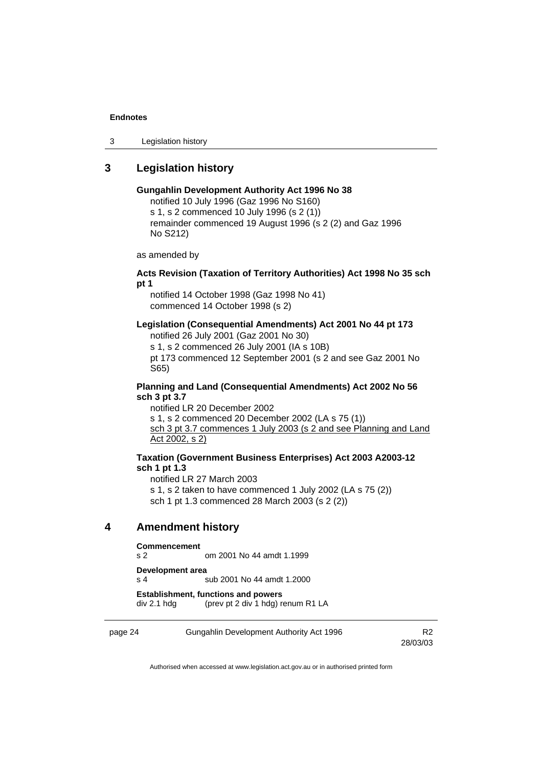3 Legislation history

## **3 Legislation history**

#### **Gungahlin Development Authority Act 1996 No 38**

notified 10 July 1996 (Gaz 1996 No S160) s 1, s 2 commenced 10 July 1996 (s 2 (1)) remainder commenced 19 August 1996 (s 2 (2) and Gaz 1996 No S212)

as amended by

#### **Acts Revision (Taxation of Territory Authorities) Act 1998 No 35 sch pt 1**

notified 14 October 1998 (Gaz 1998 No 41) commenced 14 October 1998 (s 2)

#### **Legislation (Consequential Amendments) Act 2001 No 44 pt 173**

notified 26 July 2001 (Gaz 2001 No 30)

s 1, s 2 commenced 26 July 2001 (IA s 10B)

pt 173 commenced 12 September 2001 (s 2 and see Gaz 2001 No S65)

#### **Planning and Land (Consequential Amendments) Act 2002 No 56 sch 3 pt 3.7**

notified LR 20 December 2002 s 1, s 2 commenced 20 December 2002 (LA s 75 (1)) sch 3 pt 3.7 commences 1 July 2003 (s 2 and see Planning and Land Act 2002, s 2)

#### **Taxation (Government Business Enterprises) Act 2003 A2003-12 sch 1 pt 1.3**

notified LR 27 March 2003 s 1, s 2 taken to have commenced 1 July 2002 (LA s 75 (2)) sch 1 pt 1.3 commenced 28 March 2003 (s 2 (2))

## **4 Amendment history**

#### **Commencement**  s 2 om 2001 No 44 amdt 1.1999

**Development area** 

s 4 sub 2001 No 44 amdt 1.2000

**Establishment, functions and powers**  div 2.1 hdg (prev pt 2 div 1 hdg) renum R1 LA

page 24 Gungahlin Development Authority Act 1996 R2

28/03/03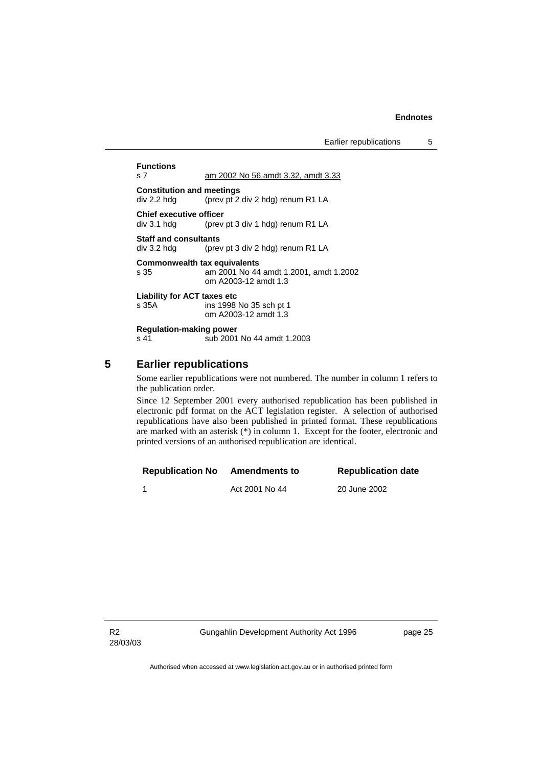**Functions**  s 7 am 2002 No 56 amdt 3.32, amdt 3.33 **Constitution and meetings**  div 2.2 hdg (prev pt 2 div 2 hdg) renum R1 LA **Chief executive officer**<br>div 3.1 hdg (prev (prev pt 3 div 1 hdg) renum R1 LA **Staff and consultants**  div 3.2 hdg (prev pt 3 div 2 hdg) renum R1 LA **Commonwealth tax equivalents**  s 35 am 2001 No 44 amdt 1.2001, amdt 1.2002 om A2003-12 amdt 1.3 **Liability for ACT taxes etc**  s 35A ins 1998 No 35 sch pt 1 om A2003-12 amdt 1.3 **Regulation-making power**  s 41 sub 2001 No 44 amdt 1.2003

### **5 Earlier republications**

Some earlier republications were not numbered. The number in column 1 refers to the publication order.

Since 12 September 2001 every authorised republication has been published in electronic pdf format on the ACT legislation register. A selection of authorised republications have also been published in printed format. These republications are marked with an asterisk (\*) in column 1. Except for the footer, electronic and printed versions of an authorised republication are identical.

| <b>Republication No</b> | <b>Amendments to</b> | <b>Republication date</b> |
|-------------------------|----------------------|---------------------------|
|                         | Act 2001 No 44       | 20 June 2002              |

Gungahlin Development Authority Act 1996 **page 25**